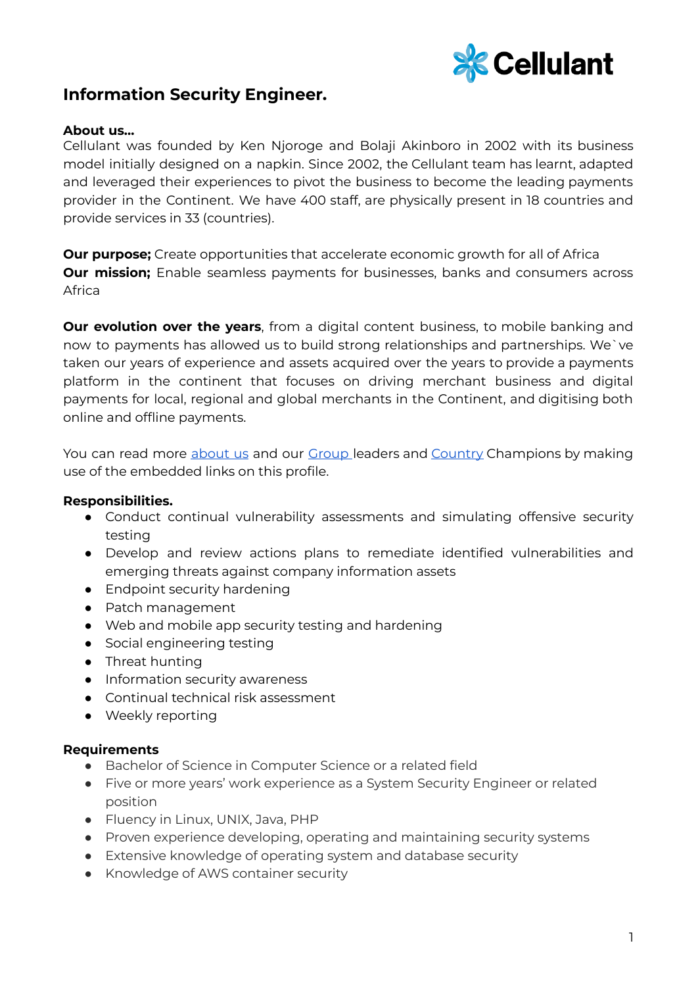

## **Information Security Engineer.**

## **About us…**

Cellulant was founded by Ken Njoroge and Bolaji Akinboro in 2002 with its business model initially designed on a napkin. Since 2002, the Cellulant team has learnt, adapted and leveraged their experiences to pivot the business to become the leading payments provider in the Continent. We have 400 staff, are physically present in 18 countries and provide services in 33 (countries).

**Our purpose;** Create opportunities that accelerate economic growth for all of Africa **Our mission;** Enable seamless payments for businesses, banks and consumers across Africa

**Our evolution over the years**, from a digital content business, to mobile banking and now to payments has allowed us to build strong relationships and partnerships. We`ve taken our years of experience and assets acquired over the years to provide a payments platform in the continent that focuses on driving merchant business and digital payments for local, regional and global merchants in the Continent, and digitising both online and offline payments.

You can read more [about](https://cellulant.io/) us and our [Group](https://cellulant.io/our-people/) leaders and [Country](https://cellulant.io/our-people/) Champions by making use of the embedded links on this profile.

## **Responsibilities.**

- Conduct continual vulnerability assessments and simulating offensive security testing
- Develop and review actions plans to remediate identified vulnerabilities and emerging threats against company information assets
- Endpoint security hardening
- Patch management
- Web and mobile app security testing and hardening
- Social engineering testing
- Threat hunting
- Information security awareness
- Continual technical risk assessment
- Weekly reporting

## **Requirements**

- Bachelor of Science in Computer Science or a related field
- Five or more years' work experience as a System Security Engineer or related position
- Fluency in Linux, UNIX, Java, PHP
- Proven experience developing, operating and maintaining security systems
- Extensive knowledge of operating system and database security
- Knowledge of AWS container security